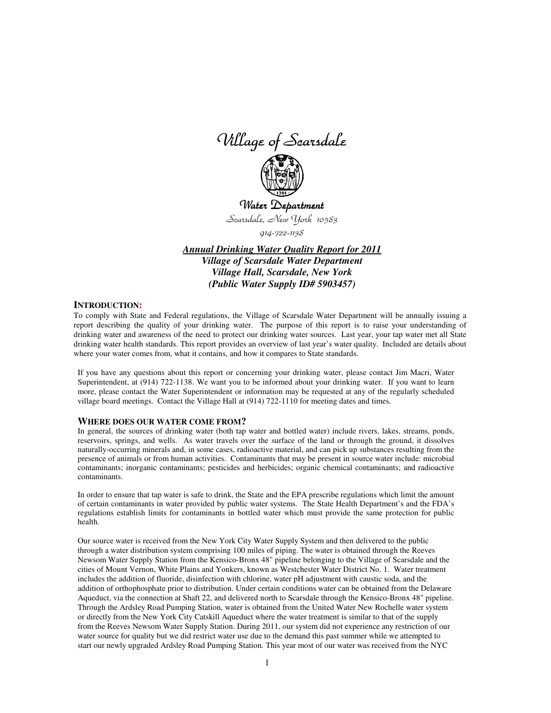Village of Scarsdale



Water Department Scarsdale, New York 10583

914-722-1138

*Annual Drinking Water Quality Report for 2011 Village of Scarsdale Water Department Village Hall, Scarsdale, New York (Public Water Supply ID# 5903457)*

#### **INTRODUCTION:**

To comply with State and Federal regulations, the Village of Scarsdale Water Department will be annually issuing a report describing the quality of your drinking water. The purpose of this report is to raise your understanding of drinking water and awareness of the need to protect our drinking water sources. Last year, your tap water met all State drinking water health standards. This report provides an overview of last year's water quality. Included are details about where your water comes from, what it contains, and how it compares to State standards.

If you have any questions about this report or concerning your drinking water, please contact Jim Macri, Water Superintendent, at (914) 722-1138. We want you to be informed about your drinking water. If you want to learn more, please contact the Water Superintendent or information may be requested at any of the regularly scheduled village board meetings. Contact the Village Hall at (914) 722-1110 for meeting dates and times.

#### **WHERE DOES OUR WATER COME FROM?**

In general, the sources of drinking water (both tap water and bottled water) include rivers, lakes, streams, ponds, reservoirs, springs, and wells. As water travels over the surface of the land or through the ground, it dissolves naturally-occurring minerals and, in some cases, radioactive material, and can pick up substances resulting from the presence of animals or from human activities. Contaminants that may be present in source water include: microbial contaminants; inorganic contaminants; pesticides and herbicides; organic chemical contaminants; and radioactive contaminants.

In order to ensure that tap water is safe to drink, the State and the EPA prescribe regulations which limit the amount of certain contaminants in water provided by public water systems. The State Health Department's and the FDA's regulations establish limits for contaminants in bottled water which must provide the same protection for public health.

Our source water is received from the New York City Water Supply System and then delivered to the public through a water distribution system comprising 100 miles of piping. The water is obtained through the Reeves Newsom Water Supply Station from the Kensico-Bronx 48" pipeline belonging to the Village of Scarsdale and the cities of Mount Vernon, White Plains and Yonkers, known as Westchester Water District No. 1. Water treatment includes the addition of fluoride, disinfection with chlorine, water pH adjustment with caustic soda, and the addition of orthophosphate prior to distribution. Under certain conditions water can be obtained from the Delaware Aqueduct, via the connection at Shaft 22, and delivered north to Scarsdale through the Kensico-Bronx 48" pipeline. Through the Ardsley Road Pumping Station, water is obtained from the United Water New Rochelle water system or directly from the New York City Catskill Aqueduct where the water treatment is similar to that of the supply from the Reeves Newsom Water Supply Station. During 2011, our system did not experience any restriction of our water source for quality but we did restrict water use due to the demand this past summer while we attempted to start our newly upgraded Ardsley Road Pumping Station. This year most of our water was received from the NYC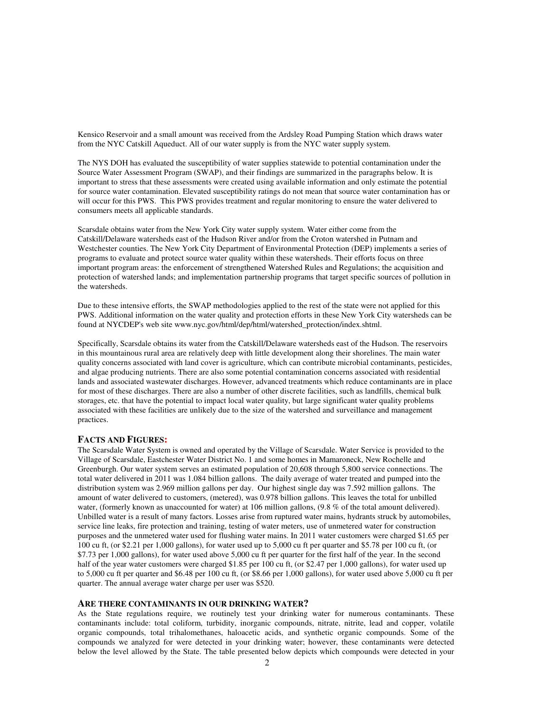Kensico Reservoir and a small amount was received from the Ardsley Road Pumping Station which draws water from the NYC Catskill Aqueduct. All of our water supply is from the NYC water supply system.

The NYS DOH has evaluated the susceptibility of water supplies statewide to potential contamination under the Source Water Assessment Program (SWAP), and their findings are summarized in the paragraphs below. It is important to stress that these assessments were created using available information and only estimate the potential for source water contamination. Elevated susceptibility ratings do not mean that source water contamination has or will occur for this PWS. This PWS provides treatment and regular monitoring to ensure the water delivered to consumers meets all applicable standards.

Scarsdale obtains water from the New York City water supply system. Water either come from the Catskill/Delaware watersheds east of the Hudson River and/or from the Croton watershed in Putnam and Westchester counties. The New York City Department of Environmental Protection (DEP) implements a series of programs to evaluate and protect source water quality within these watersheds. Their efforts focus on three important program areas: the enforcement of strengthened Watershed Rules and Regulations; the acquisition and protection of watershed lands; and implementation partnership programs that target specific sources of pollution in the watersheds.

Due to these intensive efforts, the SWAP methodologies applied to the rest of the state were not applied for this PWS. Additional information on the water quality and protection efforts in these New York City watersheds can be found at NYCDEP's web site www.nyc.gov/html/dep/html/watershed\_protection/index.shtml.

Specifically, Scarsdale obtains its water from the Catskill/Delaware watersheds east of the Hudson. The reservoirs in this mountainous rural area are relatively deep with little development along their shorelines. The main water quality concerns associated with land cover is agriculture, which can contribute microbial contaminants, pesticides, and algae producing nutrients. There are also some potential contamination concerns associated with residential lands and associated wastewater discharges. However, advanced treatments which reduce contaminants are in place for most of these discharges. There are also a number of other discrete facilities, such as landfills, chemical bulk storages, etc. that have the potential to impact local water quality, but large significant water quality problems associated with these facilities are unlikely due to the size of the watershed and surveillance and management practices.

### **FACTS AND FIGURES:**

The Scarsdale Water System is owned and operated by the Village of Scarsdale. Water Service is provided to the Village of Scarsdale, Eastchester Water District No. 1 and some homes in Mamaroneck, New Rochelle and Greenburgh. Our water system serves an estimated population of 20,608 through 5,800 service connections. The total water delivered in 2011 was 1.084 billion gallons. The daily average of water treated and pumped into the distribution system was 2.969 million gallons per day. Our highest single day was 7.592 million gallons. The amount of water delivered to customers, (metered), was 0.978 billion gallons. This leaves the total for unbilled water, (formerly known as unaccounted for water) at 106 million gallons, (9.8 % of the total amount delivered). Unbilled water is a result of many factors. Losses arise from ruptured water mains, hydrants struck by automobiles, service line leaks, fire protection and training, testing of water meters, use of unmetered water for construction purposes and the unmetered water used for flushing water mains. In 2011 water customers were charged \$1.65 per 100 cu ft, (or \$2.21 per 1,000 gallons), for water used up to 5,000 cu ft per quarter and \$5.78 per 100 cu ft, (or \$7.73 per 1,000 gallons), for water used above 5,000 cu ft per quarter for the first half of the year. In the second half of the year water customers were charged \$1.85 per 100 cu ft, (or \$2.47 per 1,000 gallons), for water used up to 5,000 cu ft per quarter and \$6.48 per 100 cu ft, (or \$8.66 per 1,000 gallons), for water used above 5,000 cu ft per quarter. The annual average water charge per user was \$520.

#### **ARE THERE CONTAMINANTS IN OUR DRINKING WATER?**

As the State regulations require, we routinely test your drinking water for numerous contaminants. These contaminants include: total coliform, turbidity, inorganic compounds, nitrate, nitrite, lead and copper, volatile organic compounds, total trihalomethanes, haloacetic acids, and synthetic organic compounds. Some of the compounds we analyzed for were detected in your drinking water; however, these contaminants were detected below the level allowed by the State. The table presented below depicts which compounds were detected in your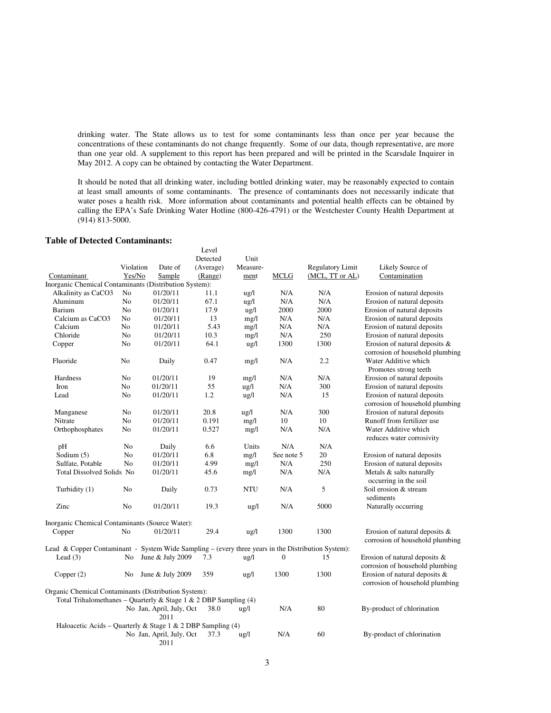drinking water. The State allows us to test for some contaminants less than once per year because the concentrations of these contaminants do not change frequently. Some of our data, though representative, are more than one year old. A supplement to this report has been prepared and will be printed in the Scarsdale Inquirer in May 2012. A copy can be obtained by contacting the Water Department.

It should be noted that all drinking water, including bottled drinking water, may be reasonably expected to contain at least small amounts of some contaminants. The presence of contaminants does not necessarily indicate that water poses a health risk. More information about contaminants and potential health effects can be obtained by calling the EPA's Safe Drinking Water Hotline (800-426-4791) or the Westchester County Health Department at (914) 813-5000.

## **Table of Detected Contaminants:**

|                                                                                                    |                |                                  | Level     |                 |                  |                         |                                                                  |
|----------------------------------------------------------------------------------------------------|----------------|----------------------------------|-----------|-----------------|------------------|-------------------------|------------------------------------------------------------------|
|                                                                                                    |                |                                  | Detected  | Unit            |                  |                         |                                                                  |
|                                                                                                    | Violation      | Date of                          | (Average) | Measure-        |                  | <b>Regulatory Limit</b> | Likely Source of                                                 |
| Contaminant                                                                                        | Yes/No         | Sample                           | (Range)   | ment            | <b>MCLG</b>      | (MCL, TT or AL)         | Contamination                                                    |
| Inorganic Chemical Contaminants (Distribution System):                                             |                |                                  |           |                 |                  |                         |                                                                  |
| Alkalinity as CaCO3                                                                                | No             | 01/20/11                         | 11.1      | $\frac{u g}{l}$ | N/A              | N/A                     | Erosion of natural deposits                                      |
| Aluminum                                                                                           | N <sub>o</sub> | 01/20/11                         | 67.1      | ug/l            | N/A              | N/A                     | Erosion of natural deposits                                      |
| <b>Barium</b>                                                                                      | N <sub>0</sub> | 01/20/11                         | 17.9      | ug/l            | 2000             | 2000                    | Erosion of natural deposits                                      |
| Calcium as CaCO3                                                                                   | No             | 01/20/11                         | 13        | mg/l            | N/A              | N/A                     | Erosion of natural deposits                                      |
| Calcium                                                                                            | No             | 01/20/11                         | 5.43      | mg/l            | N/A              | N/A                     | Erosion of natural deposits                                      |
| Chloride                                                                                           | No             | 01/20/11                         | 10.3      | mg/1            | N/A              | 250                     | Erosion of natural deposits                                      |
| Copper                                                                                             | No             | 01/20/11                         | 64.1      | $\frac{u}{2}$   | 1300             | 1300                    | Erosion of natural deposits &<br>corrosion of household plumbing |
| Fluoride                                                                                           | No             | Daily                            | 0.47      | mg/l            | N/A              | 2.2                     | Water Additive which<br>Promotes strong teeth                    |
| Hardness                                                                                           | N <sub>o</sub> | 01/20/11                         | 19        | mg/l            | N/A              | N/A                     | Erosion of natural deposits                                      |
| Iron                                                                                               | No             | 01/20/11                         | 55        | $\frac{u g}{l}$ | N/A              | 300                     | Erosion of natural deposits                                      |
| Lead                                                                                               | No             | 01/20/11                         | 1.2       | $\frac{u g}{l}$ | N/A              | 15                      | Erosion of natural deposits<br>corrosion of household plumbing   |
| Manganese                                                                                          | No             | 01/20/11                         | 20.8      | $\frac{u g}{l}$ | N/A              | 300                     | Erosion of natural deposits                                      |
| Nitrate                                                                                            | No             | 01/20/11                         | 0.191     | mg/l            | 10               | 10                      | Runoff from fertilizer use                                       |
| Orthophosphates                                                                                    | No             | 01/20/11                         | 0.527     | mg/l            | N/A              | N/A                     | Water Additive which<br>reduces water corrosivity                |
| pH                                                                                                 | No             | Daily                            | 6.6       | Units           | N/A              | N/A                     |                                                                  |
| Sodium (5)                                                                                         | No             | 01/20/11                         | 6.8       | mg/l            | See note 5       | 20                      | Erosion of natural deposits                                      |
| Sulfate, Potable                                                                                   | N <sub>o</sub> | 01/20/11                         | 4.99      | mg/l            | N/A              | 250                     | Erosion of natural deposits                                      |
| Total Dissolved Solids No                                                                          |                | 01/20/11                         | 45.6      | mg/l            | N/A              | N/A                     | Metals & salts naturally<br>occurring in the soil                |
| Turbidity (1)                                                                                      | No             | Daily                            | 0.73      | <b>NTU</b>      | N/A              | 5                       | Soil erosion & stream<br>sediments                               |
| Zinc                                                                                               | N <sub>0</sub> | 01/20/11                         | 19.3      | $\frac{u}{2}$   | N/A              | 5000                    | Naturally occurring                                              |
| Inorganic Chemical Contaminants (Source Water):                                                    |                |                                  |           |                 |                  |                         |                                                                  |
| Copper                                                                                             | No             | 01/20/11                         | 29.4      | $\frac{u g}{l}$ | 1300             | 1300                    | Erosion of natural deposits &<br>corrosion of household plumbing |
| Lead & Copper Contaminant - System Wide Sampling – (every three years in the Distribution System): |                |                                  |           |                 |                  |                         |                                                                  |
| Lead $(3)$                                                                                         | No             | June & July 2009                 | 7.3       | $\frac{u g}{l}$ | $\boldsymbol{0}$ | 15                      | Erosion of natural deposits &<br>corrosion of household plumbing |
| Copper $(2)$                                                                                       | No             | June & July 2009                 | 359       | $\frac{u g}{l}$ | 1300             | 1300                    | Erosion of natural deposits &<br>corrosion of household plumbing |
| Organic Chemical Contaminants (Distribution System):                                               |                |                                  |           |                 |                  |                         |                                                                  |
| Total Trihalomethanes - Quarterly & Stage 1 & 2 DBP Sampling $(4)$                                 |                |                                  |           |                 |                  |                         |                                                                  |
|                                                                                                    |                | No Jan, April, July, Oct         | 38.0      | $\frac{u g}{l}$ | N/A              | 80                      | By-product of chlorination                                       |
|                                                                                                    |                | 2011                             |           |                 |                  |                         |                                                                  |
| Haloacetic Acids – Quarterly & Stage 1 & 2 DBP Sampling (4)                                        |                |                                  |           |                 |                  |                         |                                                                  |
|                                                                                                    |                | No Jan, April, July, Oct<br>2011 | 37.3      | $\frac{1}{2}$   | N/A              | 60                      | By-product of chlorination                                       |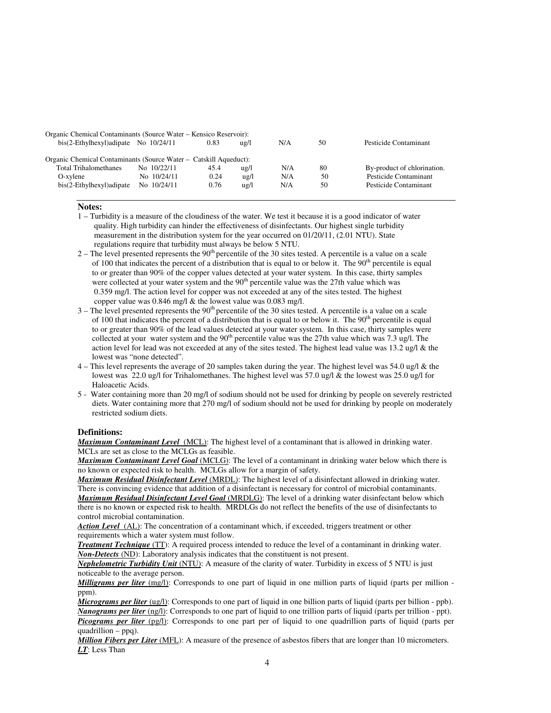| Organic Chemical Contaminants (Source Water – Kensico Reservoir): |  |             |      |               |     |    |                             |  |  |  |  |
|-------------------------------------------------------------------|--|-------------|------|---------------|-----|----|-----------------------------|--|--|--|--|
| $bis(2-Ethylhexyl) adipate$ No $10/24/11$                         |  |             | 0.83 | ug/l          | N/A | 50 | Pesticide Contaminant       |  |  |  |  |
|                                                                   |  |             |      |               |     |    |                             |  |  |  |  |
| Organic Chemical Contaminants (Source Water – Catskill Aqueduct): |  |             |      |               |     |    |                             |  |  |  |  |
| <b>Total Trihalomethanes</b>                                      |  | No 10/22/11 | 45.4 | $u\text{g/l}$ | N/A | 80 | By-product of chlorination. |  |  |  |  |
| O-xylene                                                          |  | No 10/24/11 | 0.24 | $u\text{g/l}$ | N/A | 50 | Pesticide Contaminant       |  |  |  |  |
| $bis(2-Ethylhexyl)$ adipate                                       |  | No 10/24/11 | 0.76 | $u\text{g/l}$ | N/A | 50 | Pesticide Contaminant       |  |  |  |  |
|                                                                   |  |             |      |               |     |    |                             |  |  |  |  |

#### **Notes:**

- 1 Turbidity is a measure of the cloudiness of the water. We test it because it is a good indicator of water quality. High turbidity can hinder the effectiveness of disinfectants. Our highest single turbidity measurement in the distribution system for the year occurred on 01/20/11, (2.01 NTU). State regulations require that turbidity must always be below 5 NTU.
- $2 -$  The level presented represents the  $90<sup>th</sup>$  percentile of the 30 sites tested. A percentile is a value on a scale of 100 that indicates the percent of a distribution that is equal to or below it. The  $90<sup>th</sup>$  percentile is equal to or greater than 90% of the copper values detected at your water system. In this case, thirty samples were collected at your water system and the 90<sup>th</sup> percentile value was the 27th value which was 0.359 mg/l. The action level for copper was not exceeded at any of the sites tested. The highest copper value was 0.846 mg/l & the lowest value was 0.083 mg/l.
- $3$  The level presented represents the  $90<sup>th</sup>$  percentile of the 30 sites tested. A percentile is a value on a scale of 100 that indicates the percent of a distribution that is equal to or below it. The  $90<sup>th</sup>$  percentile is equal to or greater than 90% of the lead values detected at your water system. In this case, thirty samples were collected at your water system and the  $90<sup>th</sup>$  percentile value was the 27th value which was 7.3 ug/l. The action level for lead was not exceeded at any of the sites tested. The highest lead value was 13.2 ug/l & the lowest was "none detected".
- 4 This level represents the average of 20 samples taken during the year. The highest level was 54.0 ug/l & the lowest was 22.0 ug/l for Trihalomethanes. The highest level was 57.0 ug/l & the lowest was 25.0 ug/l for Haloacetic Acids.
- 5 Water containing more than 20 mg/l of sodium should not be used for drinking by people on severely restricted diets. Water containing more that 270 mg/l of sodium should not be used for drinking by people on moderately restricted sodium diets.

#### **Definitions:**

*Maximum Contaminant Level*(MCL): The highest level of a contaminant that is allowed in drinking water. MCLs are set as close to the MCLGs as feasible.

*Maximum Contaminant Level Goal* (MCLG): The level of a contaminant in drinking water below which there is no known or expected risk to health. MCLGs allow for a margin of safety.

*Maximum Residual Disinfectant Level* (MRDL): The highest level of a disinfectant allowed in drinking water. There is convincing evidence that addition of a disinfectant is necessary for control of microbial contaminants. *Maximum Residual Disinfectant Level Goal* (MRDLG): The level of a drinking water disinfectant below which there is no known or expected risk to health. MRDLGs do not reflect the benefits of the use of disinfectants to control microbial contamination.

Action Level (AL): The concentration of a contaminant which, if exceeded, triggers treatment or other requirements which a water system must follow.

*Treatment Technique* (TT): A required process intended to reduce the level of a contaminant in drinking water. *Non-Detects* (ND): Laboratory analysis indicates that the constituent is not present.

*Nephelometric Turbidity Unit* (NTU): A measure of the clarity of water. Turbidity in excess of 5 NTU is just noticeable to the average person.

*Milligrams per liter* (mg/l): Corresponds to one part of liquid in one million parts of liquid (parts per million ppm).

*Micrograms per liter* (ug/l): Corresponds to one part of liquid in one billion parts of liquid (parts per billion - ppb). *Nanograms per liter* (ng/l): Corresponds to one part of liquid to one trillion parts of liquid (parts per trillion - ppt). *Picograms per liter* (pg/l): Corresponds to one part per of liquid to one quadrillion parts of liquid (parts per quadrillion – ppq).

*Million Fibers per Liter* (MFL): A measure of the presence of asbestos fibers that are longer than 10 micrometers. *LT*: Less Than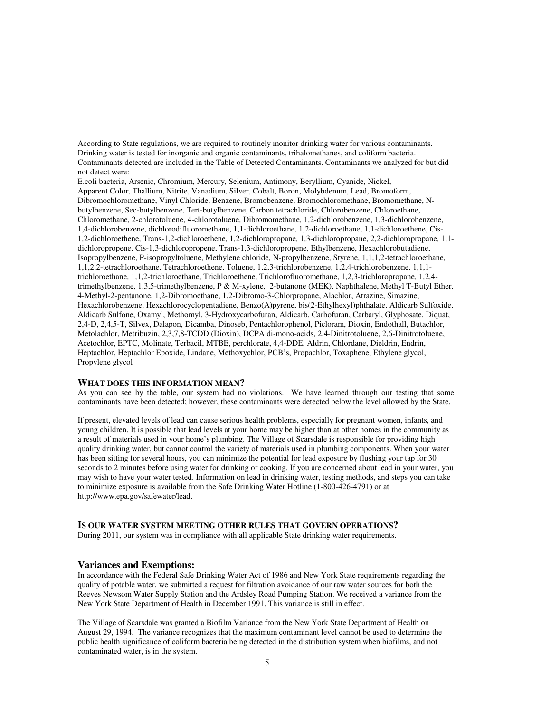According to State regulations, we are required to routinely monitor drinking water for various contaminants. Drinking water is tested for inorganic and organic contaminants, trihalomethanes, and coliform bacteria. Contaminants detected are included in the Table of Detected Contaminants. Contaminants we analyzed for but did not detect were:

E.coli bacteria, Arsenic, Chromium, Mercury, Selenium, Antimony, Beryllium, Cyanide, Nickel, Apparent Color, Thallium, Nitrite, Vanadium, Silver, Cobalt, Boron, Molybdenum, Lead, Bromoform, Dibromochloromethane, Vinyl Chloride, Benzene, Bromobenzene, Bromochloromethane, Bromomethane, Nbutylbenzene, Sec-butylbenzene, Tert-butylbenzene, Carbon tetrachloride, Chlorobenzene, Chloroethane, Chloromethane, 2-chlorotoluene, 4-chlorotoluene, Dibromomethane, 1,2-dichlorobenzene, 1,3-dichlorobenzene, 1,4-dichlorobenzene, dichlorodifluoromethane, 1,1-dichloroethane, 1,2-dichloroethane, 1,1-dichloroethene, Cis-1,2-dichloroethene, Trans-1,2-dichloroethene, 1,2-dichloropropane, 1,3-dichloropropane, 2,2-dichloropropane, 1,1 dichloropropene, Cis-1,3-dichloropropene, Trans-1,3-dichloropropene, Ethylbenzene, Hexachlorobutadiene, Isopropylbenzene, P-isopropyltoluene, Methylene chloride, N-propylbenzene, Styrene, 1,1,1,2-tetrachloroethane, 1,1,2,2-tetrachloroethane, Tetrachloroethene, Toluene, 1,2,3-trichlorobenzene, 1,2,4-trichlorobenzene, 1,1,1 trichloroethane, 1,1,2-trichloroethane, Trichloroethene, Trichlorofluoromethane, 1,2,3-trichloropropane, 1,2,4 trimethylbenzene, 1,3,5-trimethylbenzene, P & M-xylene, 2-butanone (MEK), Naphthalene, Methyl T-Butyl Ether, 4-Methyl-2-pentanone, 1,2-Dibromoethane, 1,2-Dibromo-3-Chlorpropane, Alachlor, Atrazine, Simazine, Hexachlorobenzene, Hexachlorocyclopentadiene, Benzo(A)pyrene, bis(2-Ethylhexyl)phthalate, Aldicarb Sulfoxide, Aldicarb Sulfone, Oxamyl, Methomyl, 3-Hydroxycarbofuran, Aldicarb, Carbofuran, Carbaryl, Glyphosate, Diquat, 2,4-D, 2,4,5-T, Silvex, Dalapon, Dicamba, Dinoseb, Pentachlorophenol, Picloram, Dioxin, Endothall, Butachlor, Metolachlor, Metribuzin, 2,3,7,8-TCDD (Dioxin), DCPA di-mono-acids, 2,4-Dinitrotoluene, 2,6-Dinitrotoluene, Acetochlor, EPTC, Molinate, Terbacil, MTBE, perchlorate, 4,4-DDE, Aldrin, Chlordane, Dieldrin, Endrin, Heptachlor, Heptachlor Epoxide, Lindane, Methoxychlor, PCB's, Propachlor, Toxaphene, Ethylene glycol, Propylene glycol

### **WHAT DOES THIS INFORMATION MEAN?**

As you can see by the table, our system had no violations. We have learned through our testing that some contaminants have been detected; however, these contaminants were detected below the level allowed by the State.

If present, elevated levels of lead can cause serious health problems, especially for pregnant women, infants, and young children. It is possible that lead levels at your home may be higher than at other homes in the community as a result of materials used in your home's plumbing. The Village of Scarsdale is responsible for providing high quality drinking water, but cannot control the variety of materials used in plumbing components. When your water has been sitting for several hours, you can minimize the potential for lead exposure by flushing your tap for 30 seconds to 2 minutes before using water for drinking or cooking. If you are concerned about lead in your water, you may wish to have your water tested. Information on lead in drinking water, testing methods, and steps you can take to minimize exposure is available from the Safe Drinking Water Hotline (1-800-426-4791) or at http://www.epa.gov/safewater/lead.

#### **IS OUR WATER SYSTEM MEETING OTHER RULES THAT GOVERN OPERATIONS?**

During 2011, our system was in compliance with all applicable State drinking water requirements.

### **Variances and Exemptions:**

In accordance with the Federal Safe Drinking Water Act of 1986 and New York State requirements regarding the quality of potable water, we submitted a request for filtration avoidance of our raw water sources for both the Reeves Newsom Water Supply Station and the Ardsley Road Pumping Station. We received a variance from the New York State Department of Health in December 1991. This variance is still in effect.

The Village of Scarsdale was granted a Biofilm Variance from the New York State Department of Health on August 29, 1994. The variance recognizes that the maximum contaminant level cannot be used to determine the public health significance of coliform bacteria being detected in the distribution system when biofilms, and not contaminated water, is in the system.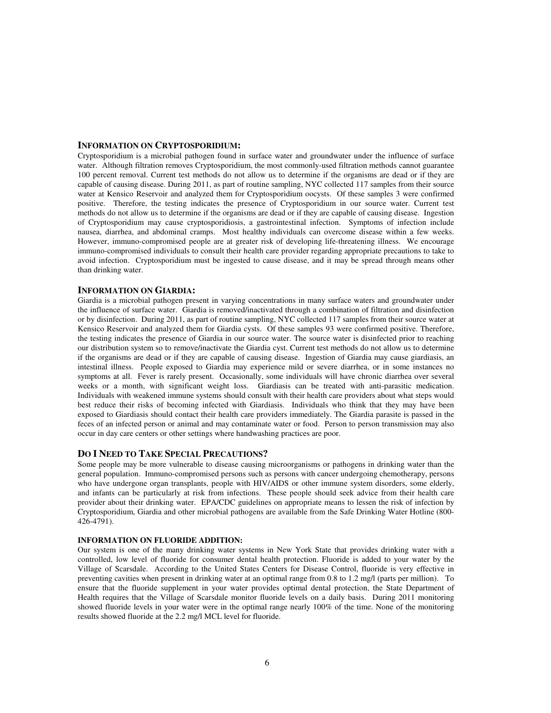### **INFORMATION ON CRYPTOSPORIDIUM:**

Cryptosporidium is a microbial pathogen found in surface water and groundwater under the influence of surface water. Although filtration removes Cryptosporidium, the most commonly-used filtration methods cannot guarantee 100 percent removal. Current test methods do not allow us to determine if the organisms are dead or if they are capable of causing disease. During 2011, as part of routine sampling, NYC collected 117 samples from their source water at Kensico Reservoir and analyzed them for Cryptosporidium oocysts. Of these samples 3 were confirmed positive. Therefore, the testing indicates the presence of Cryptosporidium in our source water. Current test methods do not allow us to determine if the organisms are dead or if they are capable of causing disease. Ingestion of Cryptosporidium may cause cryptosporidiosis, a gastrointestinal infection. Symptoms of infection include nausea, diarrhea, and abdominal cramps. Most healthy individuals can overcome disease within a few weeks. However, immuno-compromised people are at greater risk of developing life-threatening illness. We encourage immuno-compromised individuals to consult their health care provider regarding appropriate precautions to take to avoid infection. Cryptosporidium must be ingested to cause disease, and it may be spread through means other than drinking water.

#### **INFORMATION ON GIARDIA:**

Giardia is a microbial pathogen present in varying concentrations in many surface waters and groundwater under the influence of surface water. Giardia is removed/inactivated through a combination of filtration and disinfection or by disinfection. During 2011, as part of routine sampling, NYC collected 117 samples from their source water at Kensico Reservoir and analyzed them for Giardia cysts. Of these samples 93 were confirmed positive. Therefore, the testing indicates the presence of Giardia in our source water. The source water is disinfected prior to reaching our distribution system so to remove/inactivate the Giardia cyst. Current test methods do not allow us to determine if the organisms are dead or if they are capable of causing disease. Ingestion of Giardia may cause giardiasis, an intestinal illness. People exposed to Giardia may experience mild or severe diarrhea, or in some instances no symptoms at all. Fever is rarely present. Occasionally, some individuals will have chronic diarrhea over several weeks or a month, with significant weight loss. Giardiasis can be treated with anti-parasitic medication. Individuals with weakened immune systems should consult with their health care providers about what steps would best reduce their risks of becoming infected with Giardiasis. Individuals who think that they may have been exposed to Giardiasis should contact their health care providers immediately. The Giardia parasite is passed in the feces of an infected person or animal and may contaminate water or food. Person to person transmission may also occur in day care centers or other settings where handwashing practices are poor.

#### **DO I NEED TO TAKE SPECIAL PRECAUTIONS?**

Some people may be more vulnerable to disease causing microorganisms or pathogens in drinking water than the general population. Immuno-compromised persons such as persons with cancer undergoing chemotherapy, persons who have undergone organ transplants, people with HIV/AIDS or other immune system disorders, some elderly, and infants can be particularly at risk from infections. These people should seek advice from their health care provider about their drinking water. EPA/CDC guidelines on appropriate means to lessen the risk of infection by Cryptosporidium, Giardia and other microbial pathogens are available from the Safe Drinking Water Hotline (800-  $426 - 4791$ .

## **INFORMATION ON FLUORIDE ADDITION:**

Our system is one of the many drinking water systems in New York State that provides drinking water with a controlled, low level of fluoride for consumer dental health protection. Fluoride is added to your water by the Village of Scarsdale. According to the United States Centers for Disease Control, fluoride is very effective in preventing cavities when present in drinking water at an optimal range from 0.8 to 1.2 mg/l (parts per million). To ensure that the fluoride supplement in your water provides optimal dental protection, the State Department of Health requires that the Village of Scarsdale monitor fluoride levels on a daily basis. During 2011 monitoring showed fluoride levels in your water were in the optimal range nearly 100% of the time. None of the monitoring results showed fluoride at the 2.2 mg/l MCL level for fluoride.